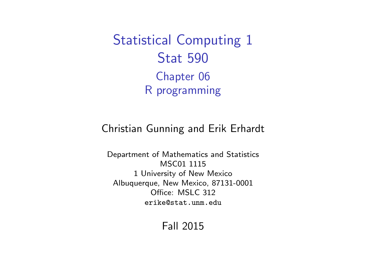<span id="page-0-0"></span>Statistical Computing 1 Stat 590 Chapter 06 R programming

#### Christian Gunning and Erik Erhardt

Department of Mathematics and Statistics MSC01 1115 1 University of New Mexico Albuquerque, New Mexico, 87131-0001 Office: MSLC 312 <erike@stat.unm.edu>

Fall 2015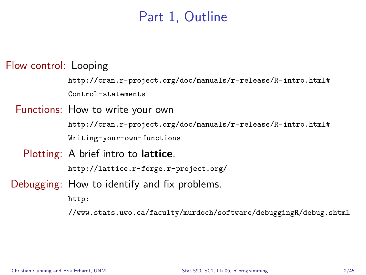## Part 1, Outline

Flow control: Looping

[http://cran.r-project.org/doc/manuals/r-release/R-intro.html#](http://cran.r-project.org/doc/manuals/r-release/R-intro.html#Control-statements) [Control-statements](http://cran.r-project.org/doc/manuals/r-release/R-intro.html#Control-statements)

Functions: How to write your own

[http://cran.r-project.org/doc/manuals/r-release/R-intro.html#](http://cran.r-project.org/doc/manuals/r-release/R-intro.html#Writing-your-own-functions) [Writing-your-own-functions](http://cran.r-project.org/doc/manuals/r-release/R-intro.html#Writing-your-own-functions)

Plotting: A brief intro to **lattice**.

<http://lattice.r-forge.r-project.org/>

Debugging: How to identify and fix problems.

[http:](http://www.stats.uwo.ca/faculty/murdoch/software/debuggingR/debug.shtml)

[//www.stats.uwo.ca/faculty/murdoch/software/debuggingR/debug.shtml](http://www.stats.uwo.ca/faculty/murdoch/software/debuggingR/debug.shtml)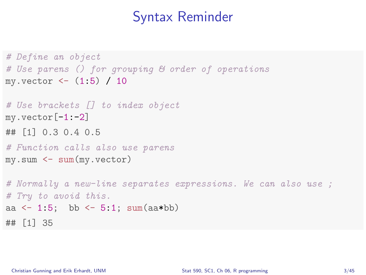### Syntax Reminder

```
# Define an object
# Use parens () for grouping & order of operations
my.vector \leftarrow (1:5) / 10# Use brackets [] to index object
myvector[-1:-2]## [1] 0.3 0.4 0.5
# Function calls also use parens
my.sum <- sum(my.vector)
# Normally a new-line separates expressions. We can also use ;
# Try to avoid this.
aa \leftarrow 1:5; bb \leftarrow 5:1; sum(aa*bb)
## [1] 35
```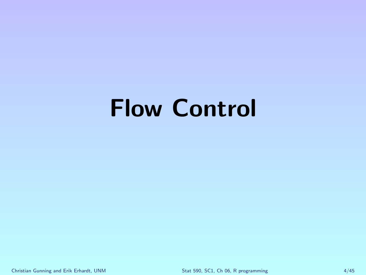# Flow Control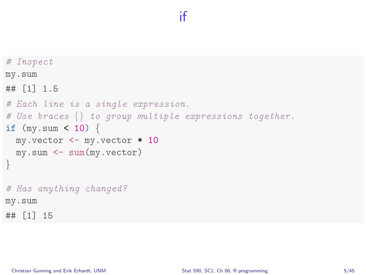## if

```
# Inspect
my.sum
## [1] 1.5
# Each line is a single expression.
# Use braces \{\} to group multiple expressions together.
if (my.sum < 10) {
  my.vector <- my.vector * 10
  my.sum <- sum(my.vector)
}
# Has anything changed?
my.sum
## [1] 15
```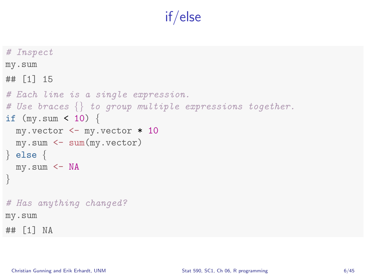# if/else

```
# Inspect
my.sum
## [1] 15
# Each line is a single expression.
# Use braces \{\} to group multiple expressions together.
if (my.sum < 10) {
  my.vector <- my.vector * 10
  my.sum <- sum(my.vector)
} else {
  my.sum \leftarrow NA}
# Has anything changed?
my.sum
## [1] NA
```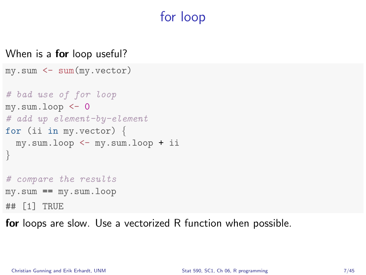# for loop

#### When is a **for** loop useful?

```
my.sum <- sum(my.vector)
# bad use of for loop
my.sum.log < -0# add up element-by-element
for (ii in my. vector) \{my.sum.loop <- my.sum.loop + ii
}
# compare the results
my.sum == my.sum.loop
## [1] TRUE
```
for loops are slow. Use a vectorized R function when possible.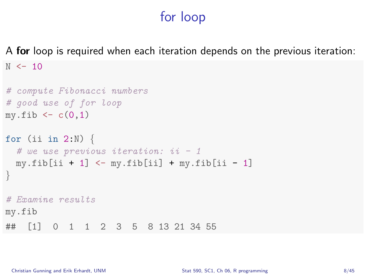# for loop

A for loop is required when each iteration depends on the previous iteration:  $N \le -10$ 

```
# compute Fibonacci numbers
# good use of for loop
my.fib \leftarrow c(0,1)for (ii in 2:N) {
  # we use previous iteration: ii - 1my.fib[i] + 1] \leq My.fib[i] + my.fib[i] - 1]}
# Examine results
my.fib
## [1] 0 1 1 2 3 5 8 13 21 34 55
```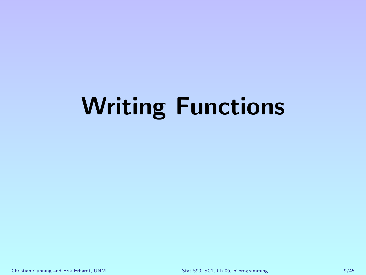# Writing Functions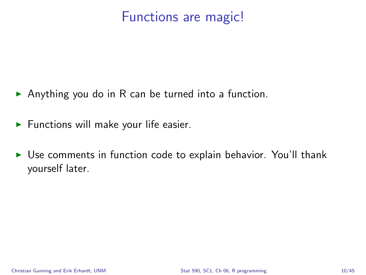# Functions are magic!

- Anything you do in R can be turned into a function.
- $\blacktriangleright$  Functions will make your life easier.
- $\triangleright$  Use comments in function code to explain behavior. You'll thank yourself later.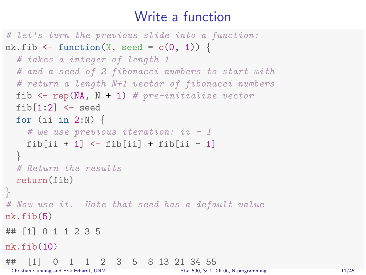# Write a function

```
# let's turn the previous slide into a function:
mk.fib \leq function(N, seed = c(0, 1)) {
  # takes a integer of length 1
  # and a seed of 2 fibonacci numbers to start with
  # return a length N+1 vector of fibonacci numbers
  fib \leq rep(NA, N + 1) # pre-initialize vector
  fib[1:2] <- seed
  for (ii in 2:N) {
    # we use previous iteration: ii - 1fib[ii + 1] \leftarrow fib[ii] + fib[ii - 1]}
  # Return the results
 return(fib)
}
# Now use it. Note that seed has a default value
mk.fib(5)## [1] 0 1 1 2 3 5
mk.fib(10)## [1] 0 1 1 2 3 5 8 13 21 34 55
                                  Stat 590, SC1, Ch 06, R programming 11/45
```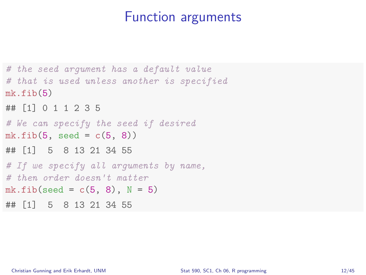#### Function arguments

```
# the seed argument has a default value
# that is used unless another is specified
mk.fib(5)## [1] 0 1 1 2 3 5
# We can specify the seed if desired
mk.fib(5, seed = c(5, 8))## [1] 5 8 13 21 34 55
# If we specify all arguments by name,
# then order doesn't matter
mk.fib(seed = c(5, 8), N = 5)## [1] 5 8 13 21 34 55
```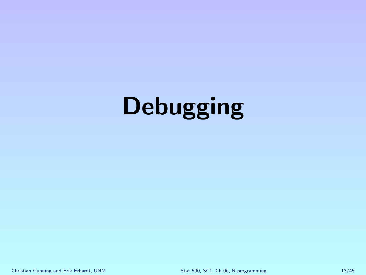# **Debugging**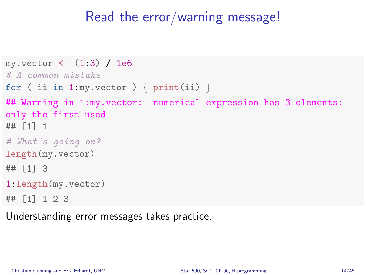### Read the error/warning message!

```
my.vector < - (1:3) / 1e6# A common mistake
for ( ii in 1:my.vector ) \{ print(ii) \}## Warning in 1:my.vector: numerical expression has 3 elements:
only the first used
## [1] 1
# What's going on?
length(my.vector)
## [1] 3
1:length(my.vector)
## [1] 1 2 3
```
Understanding error messages takes practice.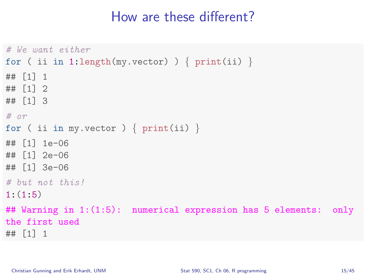## How are these different?

```
# We want either
for ( ii in 1:length(my.vector) ) { print(i) }
## [1] 1
## [1] 2
## [1] 3
# orfor ( ii in my. vector ) \{ print(ii) \}## [1] 1e-06
## [1] 2e-06
## [1] 3e-06
# but not this!
1:(1:5)
## Warning in 1:(1:5): numerical expression has 5 elements: only
the first used
## [1] 1
```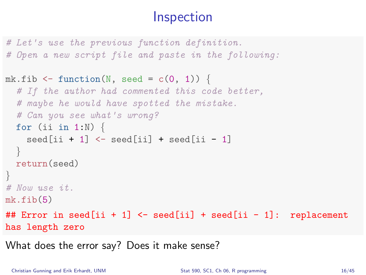# **Inspection**

```
# Let's use the previous function definition.
# Open a new script file and paste in the following:
mk.fib \le function(N, seed = c(0, 1)) {
  # If the author had commented this code better,
  # maybe he would have spotted the mistake.
  # Can you see what's wrong?
  for (ii in 1:N) \{seed[ii + 1] \le seed[ii] + seed[ii - 1]
  }
 return(seed)
}
# Now use it.
mk.fib(5)## Error in seed[ii + 1] \le seed[ii] + seed[ii - 1]: replacement
has length zero
```
What does the error say? Does it make sense?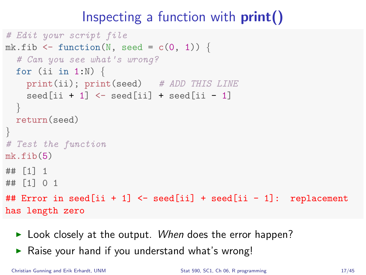# Inspecting a function with  $print()$

```
# Edit your script file
mk.fib \leq function(N, seed = c(0, 1)) {
  # Can you see what's wrong?
  for (ii in 1:N) {
    print(ii); print(seed) # ADD THIS LINE
    seed[ii + 1] \le seed[ii] + seed[ii - 1]
  }
 return(seed)
}
# Test the function
mk.fib(5)## [1] 1
## [1] 0 1
## Error in seed[ii + 1] <- seed[ii] + seed[ii - 1]: replacement
has length zero
```
- $\blacktriangleright$  Look closely at the output. When does the error happen?
- $\triangleright$  Raise your hand if you understand what's wrong!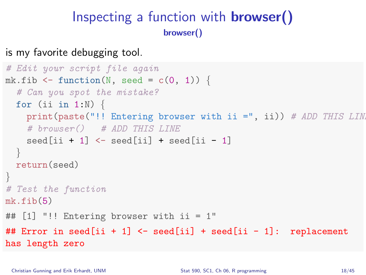## Inspecting a function with browser() browser()

is my favorite debugging tool.

```
# Edit your script file again
mk.fib \leq function(N, seed = c(0, 1)) {
  # Can you spot the mistake?
  for (ii in 1:N) \{print(paste("!! Entering browser with ii =", ii)) # ADD THIS LIN
    # browser() # ADD THIS LINE
    seed[i i + 1] \leq seed[i] + seed[i] - 1]}
 return(seed)
}
# Test the function
mk.fib(5)## [1] "!! Entering browser with ii = 1"
## Error in seed[ii + 1] \le seed[ii] + seed[ii - 1]: replacement
has length zero
```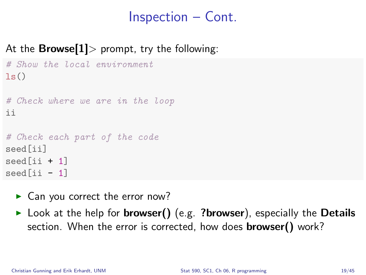# Inspection – Cont.

#### At the **Browse**[1] > prompt, try the following:

```
# Show the local environment
ls()# Check where we are in the loop
ii
# Check each part of the code
seed[ii]
seed[i i + 1]seed[ii - 1]
```
- $\blacktriangleright$  Can you correct the error now?
- $\triangleright$  Look at the help for **browser()** (e.g. ?browser), especially the **Details** section. When the error is corrected, how does **browser()** work?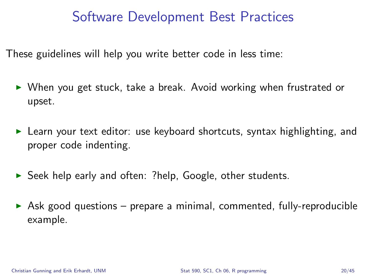#### Software Development Best Practices

These guidelines will help you write better code in less time:

- $\triangleright$  When you get stuck, take a break. Avoid working when frustrated or upset.
- E Learn your text editor: use keyboard shortcuts, syntax highlighting, and proper code indenting.
- $\triangleright$  Seek help early and often: ?help, Google, other students.
- $\triangleright$  Ask good questions prepare a minimal, commented, fully-reproducible example.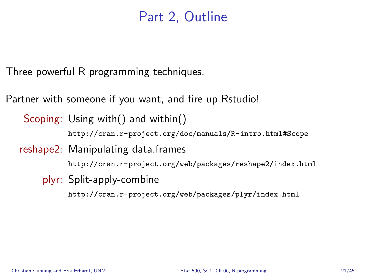### Part 2, Outline

Three powerful R programming techniques.

Partner with someone if you want, and fire up Rstudio!

Scoping: Using with() and within() <http://cran.r-project.org/doc/manuals/R-intro.html#Scope>

reshape2: Manipulating data.frames

<http://cran.r-project.org/web/packages/reshape2/index.html>

plyr: Split-apply-combine

<http://cran.r-project.org/web/packages/plyr/index.html>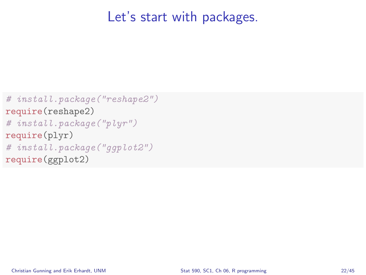### Let's start with packages.

```
# install.package("reshape2")
require(reshape2)
# install.package("plyr")
require(plyr)
# install.package("ggplot2")
require(ggplot2)
```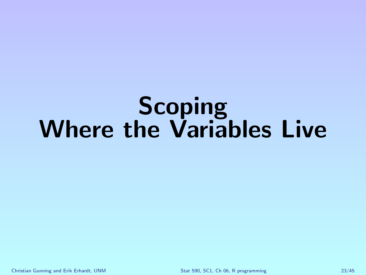# Scoping Where the Variables Live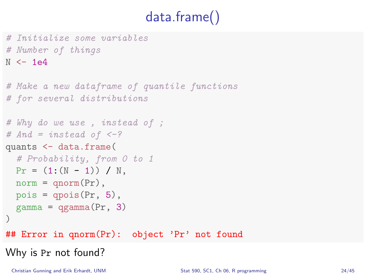# data.frame()

# Initialize some variables # Number of things  $N < - 1e4$ 

```
# Make a new dataframe of quantile functions
# for several distributions
# Why do we use , instead of ;
# And = instead of < -?quants <- data.frame(
  # Probability, from 0 to 1
 Pr = (1:(N - 1)) / N.
 norm = qnorm(Pr),
 pois = qpois(Pr, 5),
  gamma = \gammagamma(Pr, 3)
)
## Error in qnorm(Pr): object 'Pr' not found
Why is Pr not found?
```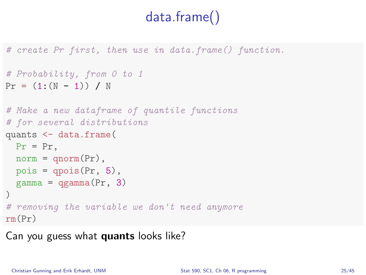# data.frame()

# create Pr first, then use in data.frame() function.

```
# Probability, from 0 to 1
Pr = (1:(N - 1)) / N
```

```
# Make a new dataframe of quantile functions
# for several distributions
quants <- data.frame(
 Pr = Pr.
 norm = qnorm(Pr),
 pois = qpois(Pr, 5),
 gamma = qgamma(Pr, 3))
# removing the variable we don't need anymore
rm(Pr)
```
Can you guess what quants looks like?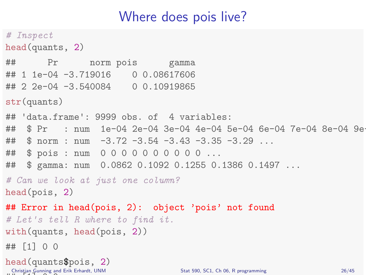# Where does pois live?

```
# Inspect
head(quants, 2)
## Pr norm pois gamma
## 1 1e-04 -3.719016 0 0.08617606
## 2 2e-04 -3.540084 0 0.10919865
str(quants)
## 'data.frame': 9999 obs. of 4 variables:
## $ Pr : num 1e-04 2e-04 3e-04 4e-04 5e-04 6e-04 7e-04 8e-04 9e-04 1e-03 ...
\# $ norm : num -3.72 -3.54 -3.43 -3.35 -3.29 ...
## $ pois : num 0 0 0 0 0 0 0 0 0 0 ...
## $ gamma: num 0.0862 0.1092 0.1255 0.1386 0.1497 ...
# Can we look at just one column?
head(pois, 2)
## Error in head(pois, 2): object 'pois' not found
# Let's tell R where to find it.
with(quants, head(pois, 2))
## [1] 0 0
head(quants$pois, 2)
\cdots \cdots \cdots \cdots Stat 590, SC1, Ch 06, R programming 26/45
```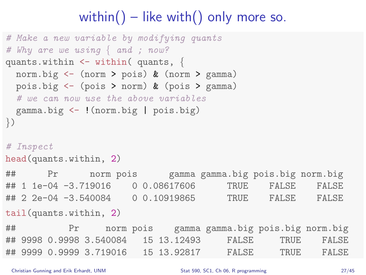# within() – like with() only more so.

```
# Make a new variable by modifying quants
# Why are we using \{ and ; now?
quants.within \leq within (quants, {
 norm.big <- (norm > pois) & (norm > gamma)
 pois.big <- (pois > norm) & (pois > gamma)
  # we can now use the above variables
 gamma.big <- !(norm.big | pois.big)
})
# Inspect
head(quants.within, 2)
## Pr norm pois gamma gamma.big pois.big norm.big
## 1 1e-04 -3.719016 0 0.08617606 TRUE FALSE FALSE
## 2 2e-04 -3.540084 0 0.10919865 TRUE FALSE FALSE
tail(quants.within, 2)
## Pr norm pois gamma gamma.big pois.big norm.big
## 9998 0.9998 3.540084 15 13.12493 FALSE TRUE FALSE
## 9999 0.9999 3.719016 15 13.92817 FALSE TRUE FALSE
```
Christian Gunning and Erik Erhardt, UNM [Stat 590, SC1, Ch 06, R programming](#page-0-0) 27/45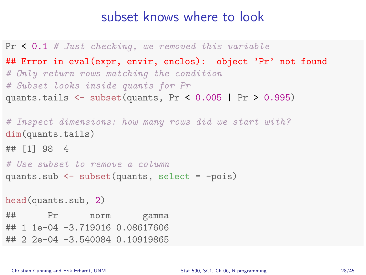#### subset knows where to look

```
Pr \leq 0.1 # Just checking, we removed this variable
## Error in eval(expr, envir, enclos): object 'Pr' not found
# Only return rows matching the condition
# Subset looks inside quants for Pr
quants.tails <- subset(quants, Pr < 0.005 | Pr > 0.995)
```

```
# Inspect dimensions: how many rows did we start with?
dim(quants.tails)
## [1] 98 4
# Use subset to remove a column
quants.sub <- subset(quants, select = -pois)
head(quants.sub, 2)
## Pr norm gamma
## 1 1e-04 -3.719016 0.08617606
## 2 2e-04 -3.540084 0.10919865
```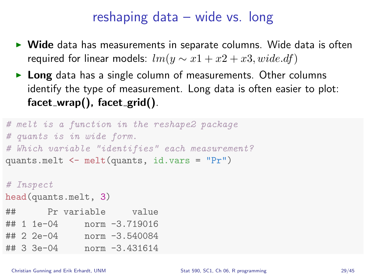## reshaping data – wide vs. long

- $\triangleright$  Wide data has measurements in separate columns. Wide data is often required for linear models:  $lm(y \sim x1 + x2 + x3, wide. df)$
- $\triangleright$  Long data has a single column of measurements. Other columns identify the type of measurement. Long data is often easier to plot:  $facet\_wrap()$ ,  $facet\_grid()$ .

```
# melt is a function in the reshape2 package
# quants is in wide form.
# Which variable "identifies" each measurement?
quants.melt <- melt(quants, id.vars = "Pr")
```
# Inspect head(quants.melt, 3) ## Pr variable value ## 1 1e-04 norm -3.719016 ## 2 2e-04 norm -3.540084 ## 3 3e-04 norm -3.431614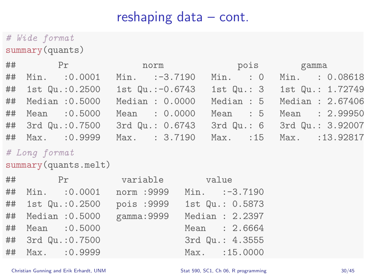## reshaping data – cont.

# Wide format summary(quants)

|                    | ## Pr norm pois gamma                                |                               |
|--------------------|------------------------------------------------------|-------------------------------|
| ## Min. : 0.0001   | $Min.$ $:-3.7190$                                    | Min. : 0 Min. : 0.08618       |
| ## 1st Qu.:0.2500  | 1st Qu.:-0.6743                                      | 1st Qu.: 3 1st Qu.: 1.72749   |
| ## Median : 0.5000 | Median: 0.0000                                       | Median: $5$ Median: $2.67406$ |
| ## Mean : 0.5000   | Mean : 0.0000                                        | Mean : 5 Mean : 2.99950       |
| ## 3rd Qu.:0.7500  | 3rd Qu.: 0.6743                                      | 3rd Qu.: 6 3rd Qu.: 3.92007   |
|                    | ## Max. :0.9999 Max. :3.7190 Max. :15 Max. :13.92817 |                               |

#### # Long format

summary(quants.melt)

|    | $\#$ # Pr          | variable value |                   |
|----|--------------------|----------------|-------------------|
| ## | Min. : 0.0001      | norm : 9999    | $Min.$ $:-3.7190$ |
|    | ## 1st Qu.: 0.2500 | pois :9999     | 1st Qu.: 0.5873   |
|    | ## Median : 0.5000 | gamma: 9999    | Median : 2.2397   |
|    | ## Mean : 0.5000   |                | Mean : 2.6664     |
|    | ## 3rd Qu.:0.7500  |                | 3rd Qu.: 4.3555   |
|    | ## Max. : 0.9999   |                | Max. : 15.0000    |
|    |                    |                |                   |

Christian Gunning and Erik Erhardt, UNM [Stat 590, SC1, Ch 06, R programming](#page-0-0) 30/45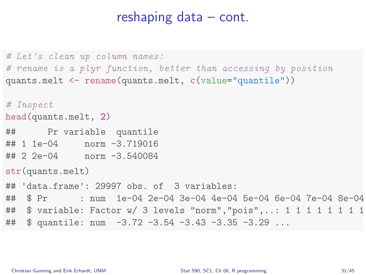#### reshaping data – cont.

```
# Let's clean up column names:
# rename is a plyr function, better than accessing by position
quants.melt <- rename(quants.melt, c(value="quantile"))
# Inspect
head(quants.melt, 2)
## Pr variable quantile
## 1 1e-04 norm -3.719016
## 2 2e-04 norm -3.540084
str(quants.melt)
## 'data.frame': 29997 obs. of 3 variables:
## $ Pr : num 1e-04 2e-04 3e-04 4e-04 5e-04 6e-04 7e-04 8e-04
## $ variable: Factor w/ 3 levels "norm","pois",..: 1 1 1 1 1 1 1 1 1 1 ...
## $ quantile: num -3.72 -3.54 -3.43 -3.35 -3.29 ...
```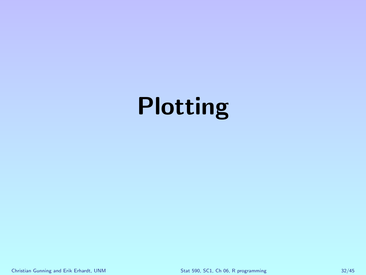# Plotting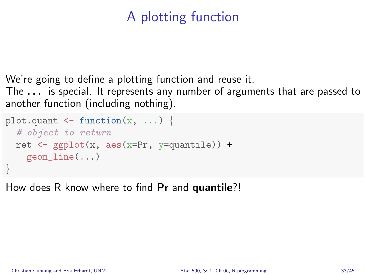# A plotting function

We're going to define a plotting function and reuse it.

The . . . is special. It represents any number of arguments that are passed to another function (including nothing).

```
plot.quant \leq function(x, \ldots) {
  # object to return
  ret \leq ggplot(x, aes(x=Pr, y=quantile)) +
    geom_line(...)
}
```
How does R know where to find **Pr** and **quantile**?!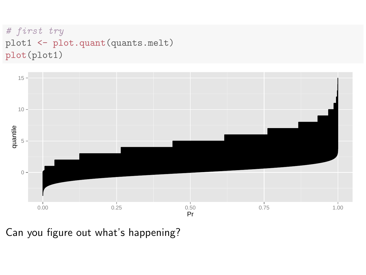```
# first try
plot1 <- plot.quant(quants.melt)
plot(plot1)
```


Can you figure out what's happening?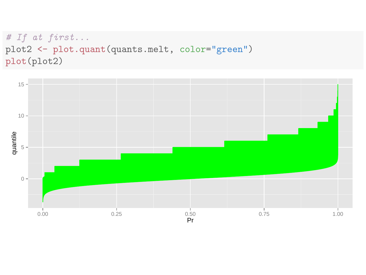```
# If at first...
plot2 <- plot.quant(quants.melt, color="green")
plot(plot2)
```
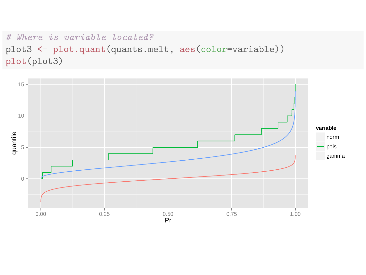#### # Where is variable located? plot3 <- plot.quant(quants.melt, aes(color=variable)) plot(plot3)

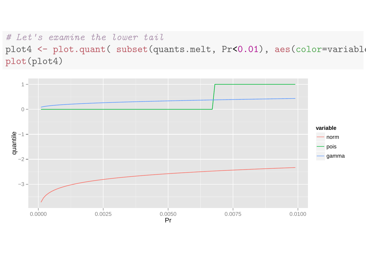# Let's examine the lower tail plot4 <- plot.quant( subset(quants.melt, Pr<0.01), aes(color=variable plot(plot4)

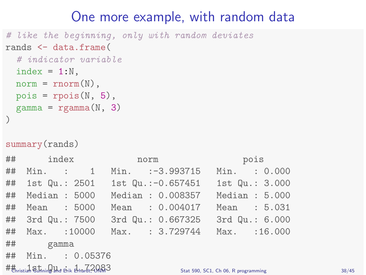### One more example, with random data

```
# like the beginning, only with random deviates
rands <- data.frame(
  # indicator variable
  index = 1:N,
 norm = rnorm(N),
  pois = rpois(N, 5),
  gamma = \text{rgamma}(N, 3))
```

```
summary(rands)
```
 $\#$ thristial Staning that  $A_{\text{back}}$   $A_{\text{back}}$   $72083$ 

|                   |  |  | ## index norm pois                                    |                |  |
|-------------------|--|--|-------------------------------------------------------|----------------|--|
|                   |  |  | ## Min. : 1 Min. :-3.993715                           | Min. : 0.000   |  |
|                   |  |  | ## 1st Qu.: 2501   1st Qu.:-0.657451   1st Qu.: 3.000 |                |  |
|                   |  |  | ## Median : 5000 Median : 0.008357                    | Median : 5.000 |  |
| ## Mean : 5000    |  |  | Mean : 0.004017                                       | Mean : 5.031   |  |
|                   |  |  | ## 3rd Qu.: 7500 3rd Qu.: 0.667325                    | 3rd Qu.: 6.000 |  |
|                   |  |  | ## Max. : 10000 Max. : 3.729744 Max. : 16.000         |                |  |
| ## gamma          |  |  |                                                       |                |  |
| ## Min. : 0.05376 |  |  |                                                       |                |  |

Stat 590, SC1, Ch 06, R programming 38/45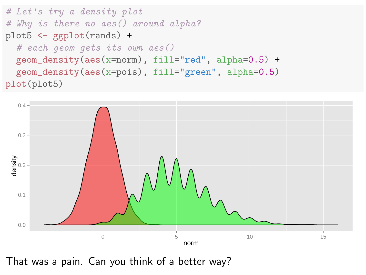```
# Let's try a density plot
# Why is there no aes() around alpha?
plot5 <- ggplot(rands) +
  # each geom gets its own aes()
  geom_density(aes(x=norm), fill="red", alpha=0.5) +
  geom_density(aes(x=pois), fill="green", alpha=0.5)
plot(plot5)
```


That was a pain. Can you think of a better way?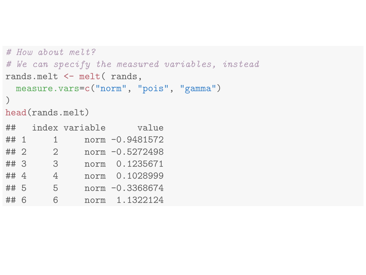```
# How about melt?
# We can specify the measured variables, instead
rands.melt <- melt( rands,
 measure.vars=c("norm", "pois", "gamma")
)
head(rands.melt)
## index variable value
## 1 1 norm -0.9481572
## 2 2 norm -0.5272498
## 3 3 norm 0.1235671
## 4 4 norm 0.1028999
## 5 5 norm -0.3368674
## 6 6 norm 1.1322124
```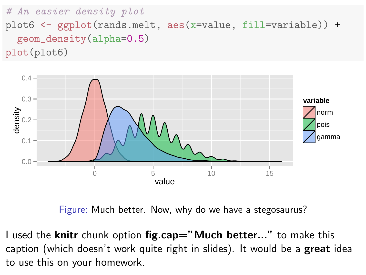```
# An easier density plot
plot6 \leftarrow ggplot(rands.melt, aes(x=value, fill=variable)) +
  geom_density(alpha=0.5)
plot(plot6)
```


Figure: Much better. Now, why do we have a stegosaurus?

I used the knitr chunk option fig.cap="Much better..." to make this caption (which doesn't work quite right in slides). It would be a great idea to use this on your homework.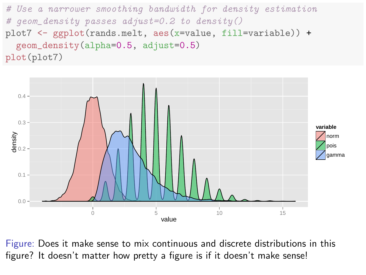# Use a narrower smoothing bandwidth for density estimation # geom\_density passes adjust=0.2 to density() plot7  $\leq$  ggplot(rands.melt, aes(x=value, fill=variable)) + geom\_density(alpha=0.5, adjust=0.5) plot(plot7)



Figure: Does it make sense to mix continuous and discrete distributions in this figure? It doesn't matter how pretty a figure is if it doesn't make sense!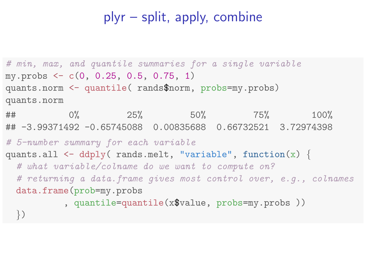# plyr – split, apply, combine

```
# min, max, and quantile summaries for a single variable
my.probs \leftarrow c(0, 0.25, 0.5, 0.75, 1)quants.norm <- quantile( rands$norm, probs=my.probs)
quants.norm
## 0% 25% 50% 75% 100%
## -3.99371492 -0.65745088 0.00835688 0.66732521 3.72974398
# 5-number summary for each variable
quants.all \leq ddply( rands.melt, "variable", function(x) {
  # what variable/colname do we want to compute on?
  # returning a data.frame gives most control over, e.g., colnames
 data.frame(prob=my.probs
          , quantile=quantile(x$value, probs=my.probs ))
 })
```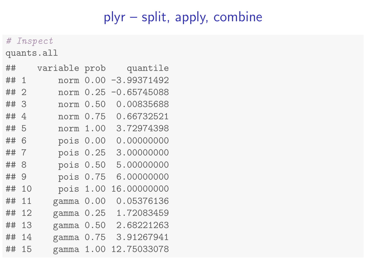# plyr – split, apply, combine

#### # Inspect

quants.all

| ##   |                | variable prob |      | quantile      |
|------|----------------|---------------|------|---------------|
| ## 1 |                | norm          | 0.00 | $-3.99371492$ |
| ##2  |                | norm          | 0.25 | $-0.65745088$ |
| ## 3 |                | norm          | 0.50 | 0.00835688    |
| ##   | $\overline{4}$ | norm          | 0.75 | 0.66732521    |
| ## 5 |                | norm 1.00     |      | 3.72974398    |
| ## 6 |                | pois 0.00     |      | 0.00000000    |
| ## 7 |                | pois 0.25     |      | 3.00000000    |
| ##   | 8              | pois 0.50     |      | 5.00000000    |
| ##   | 9              | pois 0.75     |      | 6.00000000    |
| ##   | 10             | pois 1.00     |      | 16.00000000   |
| ##   | 11             | gamma 0.00    |      | 0.05376136    |
| ##   | 12             | gamma 0.25    |      | 1.72083459    |
| ##   | 13             | gamma 0.50    |      | 2.68221263    |
| ##   | 14             | gamma $0.75$  |      | 3.91267941    |
| ##   | 15             | gamma 1.00    |      | 12.75033078   |